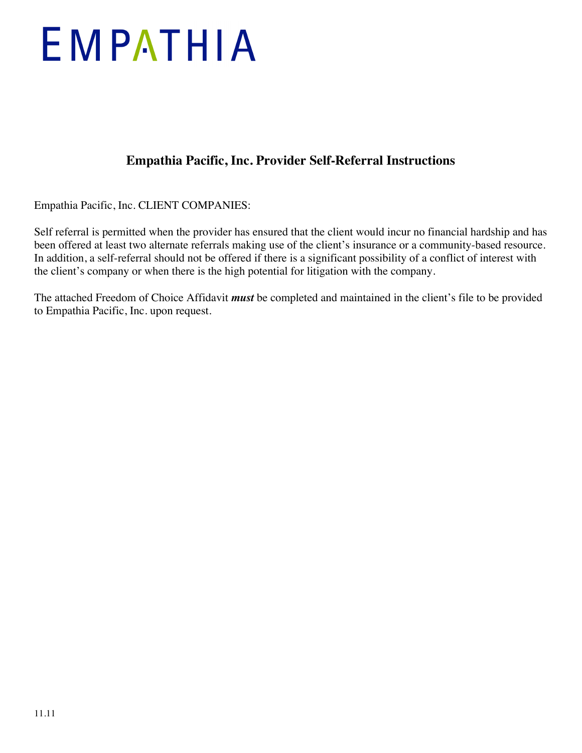# EMPATHIA

## **Empathia Pacific, Inc. Provider Self-Referral Instructions**

Empathia Pacific, Inc. CLIENT COMPANIES:

Self referral is permitted when the provider has ensured that the client would incur no financial hardship and has been offered at least two alternate referrals making use of the client's insurance or a community-based resource. In addition, a self-referral should not be offered if there is a significant possibility of a conflict of interest with the client's company or when there is the high potential for litigation with the company.

The attached Freedom of Choice Affidavit *must* be completed and maintained in the client's file to be provided to Empathia Pacific, Inc. upon request.